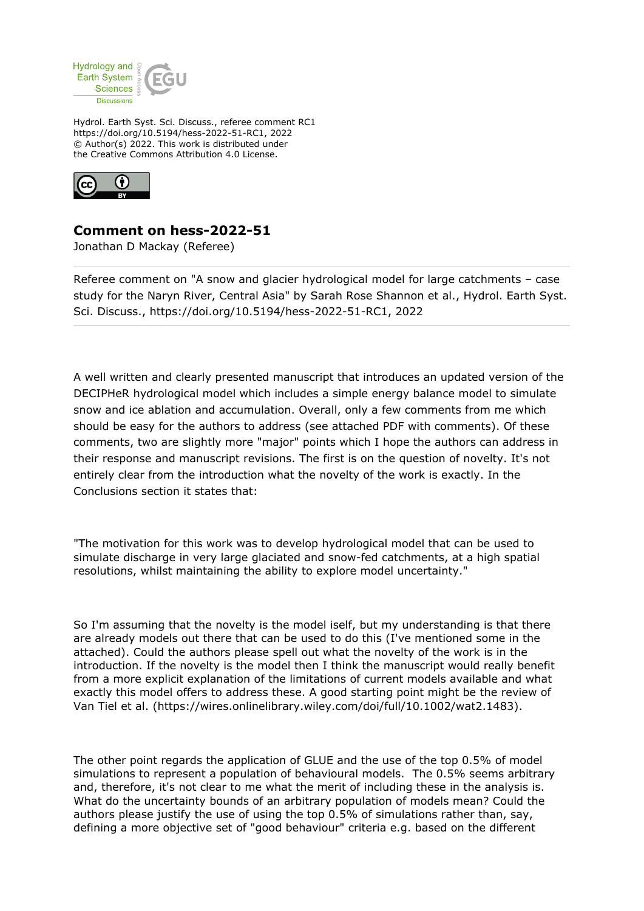

Hydrol. Earth Syst. Sci. Discuss., referee comment RC1 https://doi.org/10.5194/hess-2022-51-RC1, 2022 © Author(s) 2022. This work is distributed under the Creative Commons Attribution 4.0 License.



## **Comment on hess-2022-51**

Jonathan D Mackay (Referee)

Referee comment on "A snow and glacier hydrological model for large catchments – case study for the Naryn River, Central Asia" by Sarah Rose Shannon et al., Hydrol. Earth Syst. Sci. Discuss., https://doi.org/10.5194/hess-2022-51-RC1, 2022

A well written and clearly presented manuscript that introduces an updated version of the DECIPHeR hydrological model which includes a simple energy balance model to simulate snow and ice ablation and accumulation. Overall, only a few comments from me which should be easy for the authors to address (see attached PDF with comments). Of these comments, two are slightly more "major" points which I hope the authors can address in their response and manuscript revisions. The first is on the question of novelty. It's not entirely clear from the introduction what the novelty of the work is exactly. In the Conclusions section it states that:

"The motivation for this work was to develop hydrological model that can be used to simulate discharge in very large glaciated and snow-fed catchments, at a high spatial resolutions, whilst maintaining the ability to explore model uncertainty."

So I'm assuming that the novelty is the model iself, but my understanding is that there are already models out there that can be used to do this (I've mentioned some in the attached). Could the authors please spell out what the novelty of the work is in the introduction. If the novelty is the model then I think the manuscript would really benefit from a more explicit explanation of the limitations of current models available and what exactly this model offers to address these. A good starting point might be the review of Van Tiel et al. (https://wires.onlinelibrary.wiley.com/doi/full/10.1002/wat2.1483).

The other point regards the application of GLUE and the use of the top 0.5% of model simulations to represent a population of behavioural models. The 0.5% seems arbitrary and, therefore, it's not clear to me what the merit of including these in the analysis is. What do the uncertainty bounds of an arbitrary population of models mean? Could the authors please justify the use of using the top 0.5% of simulations rather than, say, defining a more objective set of "good behaviour" criteria e.g. based on the different